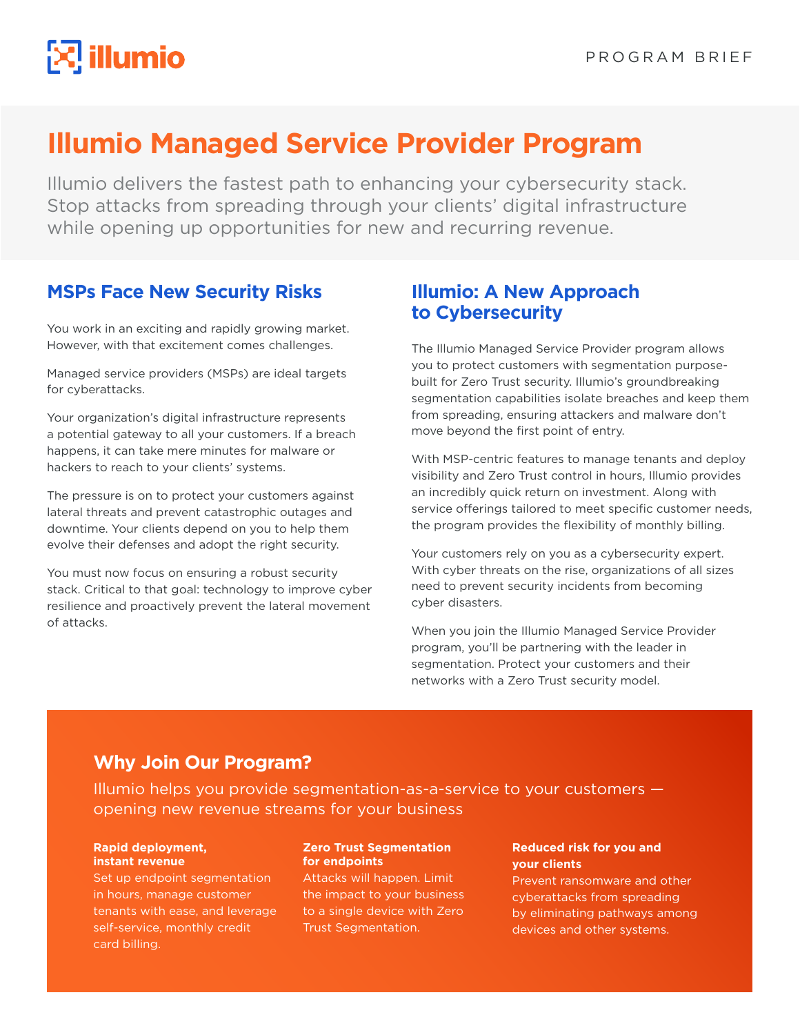# **Illumio Managed Service Provider Program**

Illumio delivers the fastest path to enhancing your cybersecurity stack. Stop attacks from spreading through your clients' digital infrastructure while opening up opportunities for new and recurring revenue.

# **MSPs Face New Security Risks**

You work in an exciting and rapidly growing market. However, with that excitement comes challenges.

Managed service providers (MSPs) are ideal targets for cyberattacks.

Your organization's digital infrastructure represents a potential gateway to all your customers. If a breach happens, it can take mere minutes for malware or hackers to reach to your clients' systems.

The pressure is on to protect your customers against lateral threats and prevent catastrophic outages and downtime. Your clients depend on you to help them evolve their defenses and adopt the right security.

You must now focus on ensuring a robust security stack. Critical to that goal: technology to improve cyber resilience and proactively prevent the lateral movement of attacks.

### **Illumio: A New Approach to Cybersecurity**

The Illumio Managed Service Provider program allows you to protect customers with segmentation purposebuilt for Zero Trust security. Illumio's groundbreaking segmentation capabilities isolate breaches and keep them from spreading, ensuring attackers and malware don't move beyond the first point of entry.

With MSP-centric features to manage tenants and deploy visibility and Zero Trust control in hours, Illumio provides an incredibly quick return on investment. Along with service offerings tailored to meet specific customer needs, the program provides the flexibility of monthly billing.

Your customers rely on you as a cybersecurity expert. With cyber threats on the rise, organizations of all sizes need to prevent security incidents from becoming cyber disasters.

When you join the Illumio Managed Service Provider program, you'll be partnering with the leader in segmentation. Protect your customers and their networks with a Zero Trust security model.

# **Why Join Our Program?**

Illumio helps you provide segmentation-as-a-service to your customers opening new revenue streams for your business

#### **Rapid deployment, instant revenue**

Set up endpoint segmentation in hours, manage customer tenants with ease, and leverage self-service, monthly credit card billing.

#### **Zero Trust Segmentation for endpoints**

Attacks will happen. Limit the impact to your business to a single device with Zero Trust Segmentation.

#### **Reduced risk for you and your clients**

Prevent ransomware and other cyberattacks from spreading by eliminating pathways among devices and other systems.